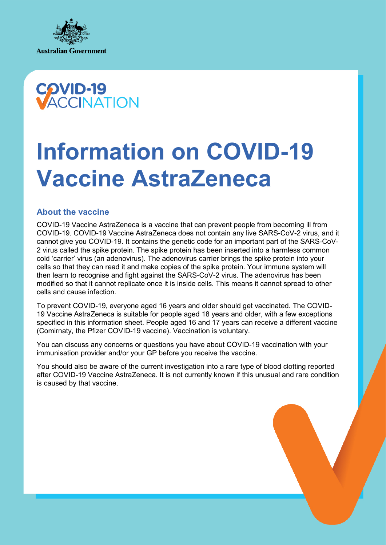



# **Information on COVID-19 Vaccine AstraZeneca**

## **About the vaccine**

COVID-19 Vaccine AstraZeneca is a vaccine that can prevent people from becoming ill from COVID-19. COVID-19 Vaccine AstraZeneca does not contain any live SARS-CoV-2 virus, and it cannot give you COVID-19. It contains the genetic code for an important part of the SARS-CoV-2 virus called the spike protein. The spike protein has been inserted into a harmless common cold 'carrier' virus (an adenovirus). The adenovirus carrier brings the spike protein into your cells so that they can read it and make copies of the spike protein. Your immune system will then learn to recognise and fight against the SARS-CoV-2 virus. The adenovirus has been modified so that it cannot replicate once it is inside cells. This means it cannot spread to other cells and cause infection.

To prevent COVID-19, everyone aged 16 years and older should get vaccinated. The COVID-19 Vaccine AstraZeneca is suitable for people aged 18 years and older, with a few exceptions specified in this information sheet. People aged 16 and 17 years can receive a different vaccine (Comirnaty, the Pfizer COVID-19 vaccine). Vaccination is voluntary.

You can discuss any concerns or questions you have about COVID-19 vaccination with your immunisation provider and/or your GP before you receive the vaccine.

You should also be aware of the current investigation into a rare type of blood clotting reported after COVID-19 Vaccine AstraZeneca. It is not currently known if this unusual and rare condition is caused by that vaccine.

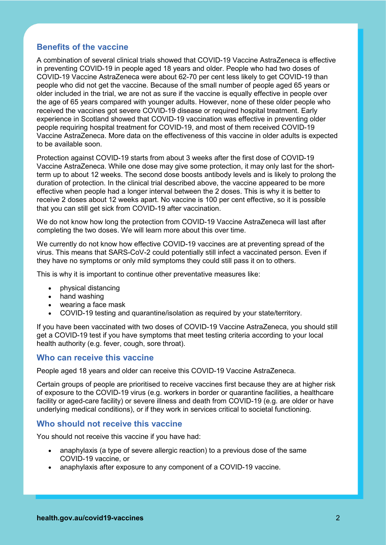## **Benefits of the vaccine**

A combination of several clinical trials showed that COVID-19 Vaccine AstraZeneca is effective in preventing COVID-19 in people aged 18 years and older. People who had two doses of COVID-19 Vaccine AstraZeneca were about 62-70 per cent less likely to get COVID-19 than people who did not get the vaccine. Because of the small number of people aged 65 years or older included in the trial, we are not as sure if the vaccine is equally effective in people over the age of 65 years compared with younger adults. However, none of these older people who received the vaccines got severe COVID-19 disease or required hospital treatment. Early experience in Scotland showed that COVID-19 vaccination was effective in preventing older people requiring hospital treatment for COVID-19, and most of them received COVID-19 Vaccine AstraZeneca. More data on the effectiveness of this vaccine in older adults is expected to be available soon.

Protection against COVID-19 starts from about 3 weeks after the first dose of COVID-19 Vaccine AstraZeneca. While one dose may give some protection, it may only last for the shortterm up to about 12 weeks. The second dose boosts antibody levels and is likely to prolong the duration of protection. In the clinical trial described above, the vaccine appeared to be more effective when people had a longer interval between the 2 doses. This is why it is better to receive 2 doses about 12 weeks apart. No vaccine is 100 per cent effective, so it is possible that you can still get sick from COVID-19 after vaccination.

We do not know how long the protection from COVID-19 Vaccine AstraZeneca will last after completing the two doses. We will learn more about this over time.

We currently do not know how effective COVID-19 vaccines are at preventing spread of the virus. This means that SARS-CoV-2 could potentially still infect a vaccinated person. Even if they have no symptoms or only mild symptoms they could still pass it on to others.

This is why it is important to continue other preventative measures like:

- physical distancing
- hand washing
- wearing a face mask
- COVID-19 testing and quarantine/isolation as required by your state/territory.

If you have been vaccinated with two doses of COVID-19 Vaccine AstraZeneca, you should still get a COVID-19 test if you have symptoms that meet testing criteria according to your local health authority (e.g. fever, cough, sore throat).

## **Who can receive this vaccine**

People aged 18 years and older can receive this COVID-19 Vaccine AstraZeneca.

Certain groups of people are prioritised to receive vaccines first because they are at higher risk of exposure to the COVID-19 virus (e.g. workers in border or quarantine facilities, a healthcare facility or aged-care facility) or severe illness and death from COVID-19 (e.g. are older or have underlying medical conditions), or if they work in services critical to societal functioning.

## **Who should not receive this vaccine**

You should not receive this vaccine if you have had:

- anaphylaxis (a type of severe allergic reaction) to a previous dose of the same COVID-19 vaccine, or
- anaphylaxis after exposure to any component of a COVID-19 vaccine.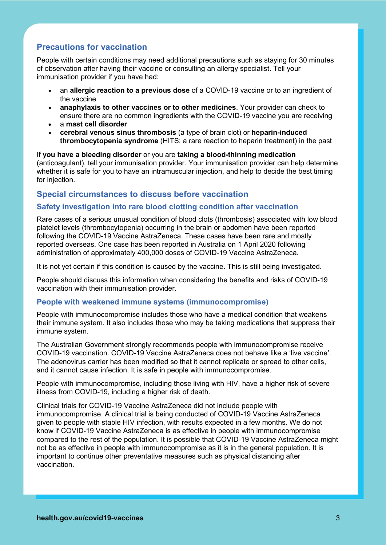# **Precautions for vaccination**

People with certain conditions may need additional precautions such as staying for 30 minutes of observation after having their vaccine or consulting an allergy specialist. Tell your immunisation provider if you have had:

- an **allergic reaction to a previous dose** of a COVID-19 vaccine or to an ingredient of the vaccine
- **anaphylaxis to other vaccines or to other medicines**. Your provider can check to ensure there are no common ingredients with the COVID-19 vaccine you are receiving
- a **mast cell disorder**
- **cerebral venous sinus thrombosis** (a type of brain clot) or **heparin-induced thrombocytopenia syndrome** (HITS; a rare reaction to heparin treatment) in the past

If **you have a bleeding disorder** or you are **taking a blood-thinning medication**  (anticoagulant), tell your immunisation provider. Your immunisation provider can help determine whether it is safe for you to have an intramuscular injection, and help to decide the best timing for injection.

## **Special circumstances to discuss before vaccination**

## **Safety investigation into rare blood clotting condition after vaccination**

Rare cases of a serious unusual condition of blood clots (thrombosis) associated with low blood platelet levels (thrombocytopenia) occurring in the brain or abdomen have been reported following the COVID-19 Vaccine AstraZeneca. These cases have been rare and mostly reported overseas. One case has been reported in Australia on 1 April 2020 following administration of approximately 400,000 doses of COVID-19 Vaccine AstraZeneca.

It is not yet certain if this condition is caused by the vaccine. This is still being investigated.

People should discuss this information when considering the benefits and risks of COVID-19 vaccination with their immunisation provider.

## **People with weakened immune systems (immunocompromise)**

People with immunocompromise includes those who have a medical condition that weakens their immune system. It also includes those who may be taking medications that suppress their immune system.

The Australian Government strongly recommends people with immunocompromise receive COVID-19 vaccination. COVID-19 Vaccine AstraZeneca does not behave like a 'live vaccine'. The adenovirus carrier has been modified so that it cannot replicate or spread to other cells, and it cannot cause infection. It is safe in people with immunocompromise.

People with immunocompromise, including those living with HIV, have a higher risk of severe illness from COVID-19, including a higher risk of death.

Clinical trials for COVID-19 Vaccine AstraZeneca did not include people with immunocompromise. A clinical trial is being conducted of COVID-19 Vaccine AstraZeneca given to people with stable HIV infection, with results expected in a few months. We do not know if COVID-19 Vaccine AstraZeneca is as effective in people with immunocompromise compared to the rest of the population. It is possible that COVID-19 Vaccine AstraZeneca might not be as effective in people with immunocompromise as it is in the general population. It is important to continue other preventative measures such as physical distancing after vaccination.